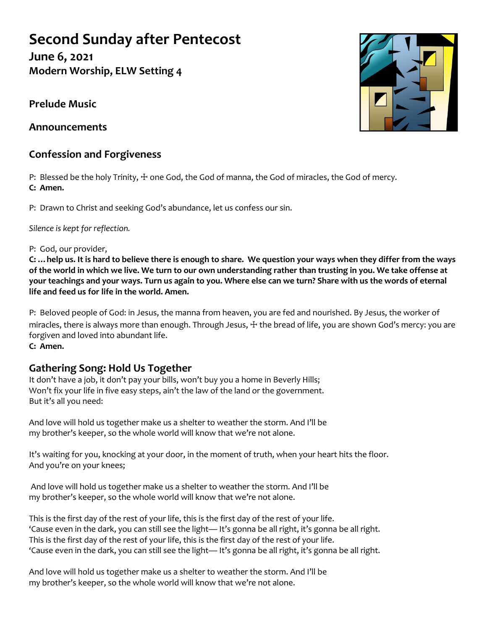# **Second Sunday after Pentecost**

**June 6, 2021 Modern Worship, ELW Setting 4**

**Prelude Music**

**Announcements**

## **Confession and Forgiveness**

P: Blessed be the holy Trinity,  $\pm$  one God, the God of manna, the God of miracles, the God of mercy. **C: Amen.**

P: Drawn to Christ and seeking God's abundance, let us confess our sin.

*Silence is kept for reflection.*

### P: God, our provider,

**C: …help us. It is hard to believe there is enough to share. We question your ways when they differ from the ways of the world in which we live. We turn to our own understanding rather than trusting in you. We take offense at your teachings and your ways. Turn us again to you. Where else can we turn? Share with us the words of eternal life and feed us for life in the world. Amen.**

P: Beloved people of God: in Jesus, the manna from heaven, you are fed and nourished. By Jesus, the worker of miracles, there is always more than enough. Through Jesus,  $\pm$  the bread of life, you are shown God's mercy: you are forgiven and loved into abundant life. **C: Amen.**

## **Gathering Song: Hold Us Together**

It don't have a job, it don't pay your bills, won't buy you a home in Beverly Hills; Won't fix your life in five easy steps, ain't the law of the land or the government. But it's all you need:

And love will hold us together make us a shelter to weather the storm. And I'll be my brother's keeper, so the whole world will know that we're not alone.

It's waiting for you, knocking at your door, in the moment of truth, when your heart hits the floor. And you're on your knees;

And love will hold us together make us a shelter to weather the storm. And I'll be my brother's keeper, so the whole world will know that we're not alone.

This is the first day of the rest of your life, this is the first day of the rest of your life. 'Cause even in the dark, you can still see the light— It's gonna be all right, it's gonna be all right. This is the first day of the rest of your life, this is the first day of the rest of your life. 'Cause even in the dark, you can still see the light— It's gonna be all right, it's gonna be all right.

And love will hold us together make us a shelter to weather the storm. And I'll be my brother's keeper, so the whole world will know that we're not alone.

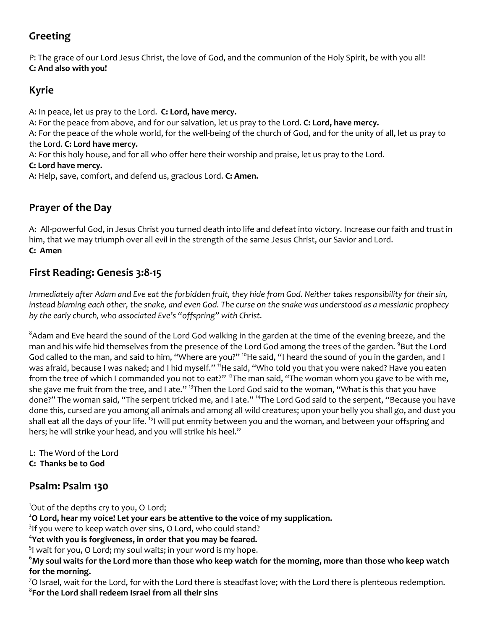# **Greeting**

P: The grace of our Lord Jesus Christ, the love of God, and the communion of the Holy Spirit, be with you all! **C: And also with you!**

## **Kyrie**

A: In peace, let us pray to the Lord. **C: Lord, have mercy.**

A: For the peace from above, and for our salvation, let us pray to the Lord. **C: Lord, have mercy.**

A: For the peace of the whole world, for the well-being of the church of God, and for the unity of all, let us pray to the Lord. **C: Lord have mercy.**

A: For this holy house, and for all who offer here their worship and praise, let us pray to the Lord.

#### **C: Lord have mercy.**

A: Help, save, comfort, and defend us, gracious Lord. **C: Amen.**

### **Prayer of the Day**

A: All-powerful God, in Jesus Christ you turned death into life and defeat into victory. Increase our faith and trust in him, that we may triumph over all evil in the strength of the same Jesus Christ, our Savior and Lord. **C: Amen**

## **First Reading: Genesis 3:8-15**

*Immediately after Adam and Eve eat the forbidden fruit, they hide from God. Neither takes responsibility for their sin, instead blaming each other, the snake, and even God. The curse on the snake was understood as a messianic prophecy by the early church, who associated Eve's "offspring" with Christ.*

 $^8$ Adam and Eve heard the sound of the Lord God walking in the garden at the time of the evening breeze, and the man and his wife hid themselves from the presence of the Lord God among the trees of the garden. <sup>9</sup>But the Lord God called to the man, and said to him, "Where are you?" <sup>10</sup>He said, "I heard the sound of you in the garden, and I was afraid, because I was naked; and I hid myself." "He said, "Who told you that you were naked? Have you eaten from the tree of which I commanded you not to eat?" <sup>12</sup>The man said, "The woman whom you gave to be with me, she gave me fruit from the tree, and I ate." <sup>13</sup>Then the Lord God said to the woman, "What is this that you have done?" The woman said, "The serpent tricked me, and I ate." <sup>14</sup>The Lord God said to the serpent, "Because you have done this, cursed are you among all animals and among all wild creatures; upon your belly you shall go, and dust you shall eat all the days of your life. <sup>15</sup>I will put enmity between you and the woman, and between your offspring and hers; he will strike your head, and you will strike his heel."

L: The Word of the Lord

**C: Thanks be to God**

## **Psalm: Psalm 130**

1 Out of the depths cry to you, O Lord;

2 **O Lord, hear my voice! Let your ears be attentive to the voice of my supplication.**

<sup>3</sup>If you were to keep watch over sins, O Lord, who could stand?

4 **Yet with you is forgiveness, in order that you may be feared.**

<sup>5</sup>l wait for you, O Lord; my soul waits; in your word is my hope.

 $^6$ My soul waits for the Lord more than those who keep watch for the morning, more than those who keep watch **for the morning.**

 $7$ O Israel, wait for the Lord, for with the Lord there is steadfast love; with the Lord there is plenteous redemption. 8 **For the Lord shall redeem Israel from all their sins**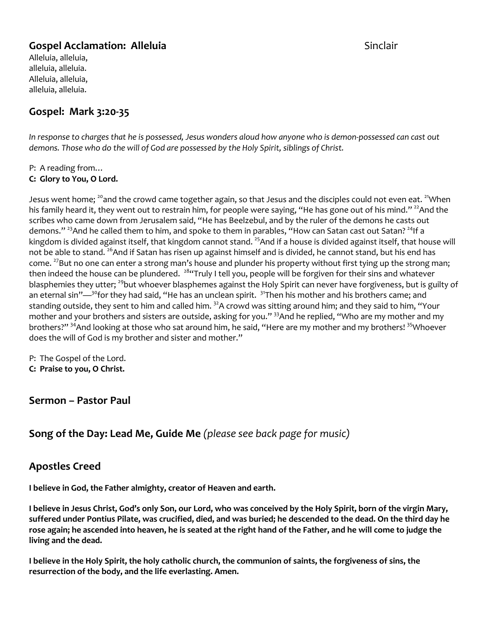### **Gospel Acclamation: Alleluia Sinclair Sinclair** Sinclair

Alleluia, alleluia, alleluia, alleluia. Alleluia, alleluia, alleluia, alleluia.

## **Gospel: Mark 3:20-35**

*In response to charges that he is possessed, Jesus wonders aloud how anyone who is demon-possessed can cast out demons. Those who do the will of God are possessed by the Holy Spirit, siblings of Christ.*

#### P: A reading from…

#### **C: Glory to You, O Lord.**

Jesus went home; <sup>20</sup>and the crowd came together again, so that Jesus and the disciples could not even eat. <sup>21</sup>When his family heard it, they went out to restrain him, for people were saying, "He has gone out of his mind."<sup>22</sup>And the scribes who came down from Jerusalem said, "He has Beelzebul, and by the ruler of the demons he casts out demons." <sup>23</sup>And he called them to him, and spoke to them in parables, "How can Satan cast out Satan? <sup>24</sup>If a kingdom is divided against itself, that kingdom cannot stand. <sup>25</sup>And if a house is divided against itself, that house will not be able to stand. <sup>26</sup>And if Satan has risen up against himself and is divided, he cannot stand, but his end has come. <sup>27</sup>But no one can enter a strong man's house and plunder his property without first tying up the strong man; then indeed the house can be plundered. <sup>28</sup>"Truly I tell you, people will be forgiven for their sins and whatever blasphemies they utter; <sup>29</sup>but whoever blasphemes against the Holy Spirit can never have forgiveness, but is guilty of an eternal sin"— $30$ for they had said, "He has an unclean spirit.  $31$ Then his mother and his brothers came; and standing outside, they sent to him and called him. <sup>32</sup>A crowd was sitting around him; and they said to him, "Your mother and your brothers and sisters are outside, asking for you." <sup>33</sup>And he replied, "Who are my mother and my brothers?" <sup>34</sup>And looking at those who sat around him, he said, "Here are my mother and my brothers! <sup>35</sup>Whoever does the will of God is my brother and sister and mother."

P: The Gospel of the Lord. **C: Praise to you, O Christ.**

#### **Sermon – Pastor Paul**

### **Song of the Day: Lead Me, Guide Me** *(please see back page for music)*

### **Apostles Creed**

**I believe in God, the Father almighty, creator of Heaven and earth.** 

**I believe in Jesus Christ, God's only Son, our Lord, who was conceived by the Holy Spirit, born of the virgin Mary, suffered under Pontius Pilate, was crucified, died, and was buried; he descended to the dead. On the third day he rose again; he ascended into heaven, he is seated at the right hand of the Father, and he will come to judge the living and the dead.**

**I believe in the Holy Spirit, the holy catholic church, the communion of saints, the forgiveness of sins, the resurrection of the body, and the life everlasting. Amen.**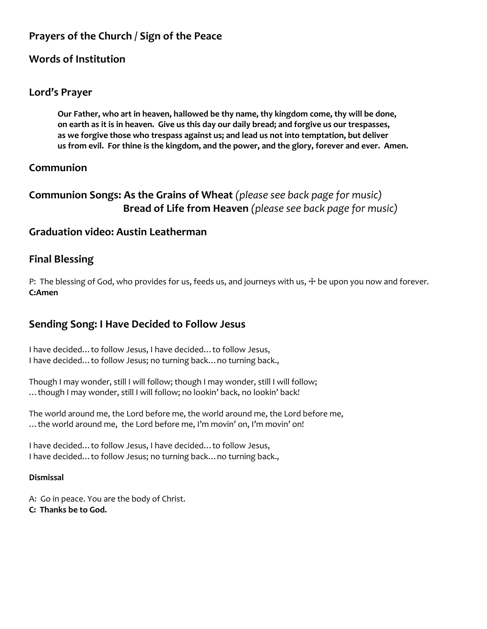## **Prayers of the Church / Sign of the Peace**

## **Words of Institution**

### **Lord's Prayer**

**Our Father, who art in heaven, hallowed be thy name, thy kingdom come, thy will be done, on earth as it is in heaven. Give us this day our daily bread; and forgive us our trespasses, as we forgive those who trespass against us; and lead us not into temptation, but deliver us from evil. For thine is the kingdom, and the power, and the glory, forever and ever. Amen.**

#### **Communion**

## **Communion Songs: As the Grains of Wheat** *(please see back page for music)* **Bread of Life from Heaven** *(please see back page for music)*

#### **Graduation video: Austin Leatherman**

### **Final Blessing**

P: The blessing of God, who provides for us, feeds us, and journeys with us,  $\pm$  be upon you now and forever. **C:Amen**

### **Sending Song: I Have Decided to Follow Jesus**

I have decided…to follow Jesus, I have decided…to follow Jesus, I have decided... to follow Jesus; no turning back... no turning back.,

Though I may wonder, still I will follow; though I may wonder, still I will follow; …though I may wonder, still I will follow; no lookin' back, no lookin' back!

The world around me, the Lord before me, the world around me, the Lord before me, …the world around me, the Lord before me, I'm movin' on, I'm movin' on!

I have decided…to follow Jesus, I have decided…to follow Jesus, I have decided... to follow Jesus; no turning back... no turning back.,

#### **Dismissal**

A: Go in peace. You are the body of Christ. **C: Thanks be to God.**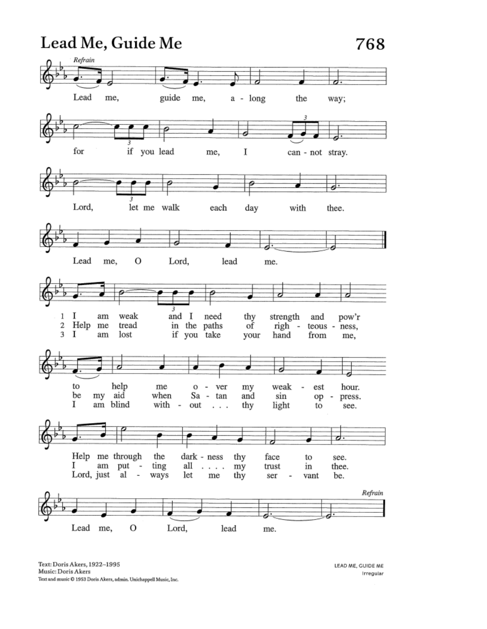# Lead Me, Guide Me





Text: Doris Akers, 1922-1995 Music: Doris Akers Text and music  $O$  1953 Doris Akers, admin. Unichappell Music, Inc.

LEAD ME, GUIDE ME Irregular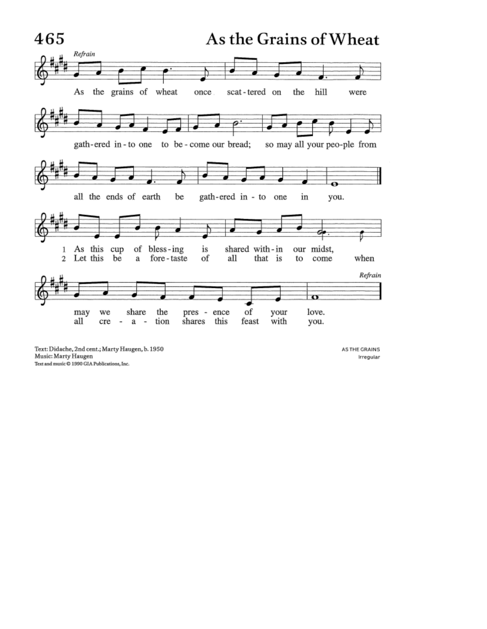

Text: Didache, 2nd cent.; Marty Haugen, b. 1950 Music: Marty Haugen Text and music  $@$  1990 GIA Publications, Inc.

AS THE GRAINS Irregular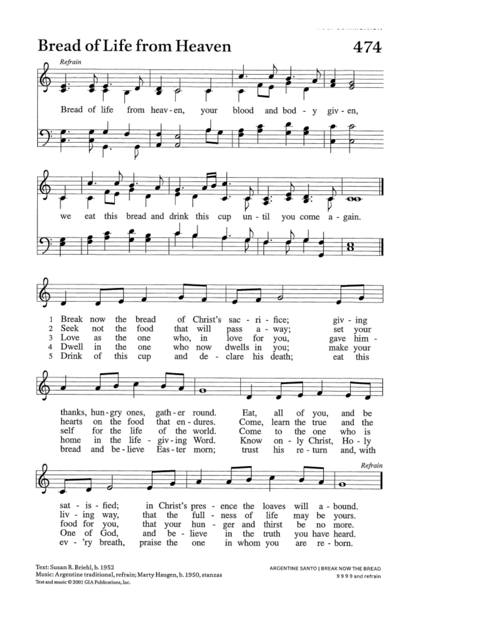

Text: Susan R. Briehl, b. 1952 Music: Argentine traditional, refrain; Marty Haugen, b. 1950, stanzas Text and music C 2001 GIA Publications, Inc.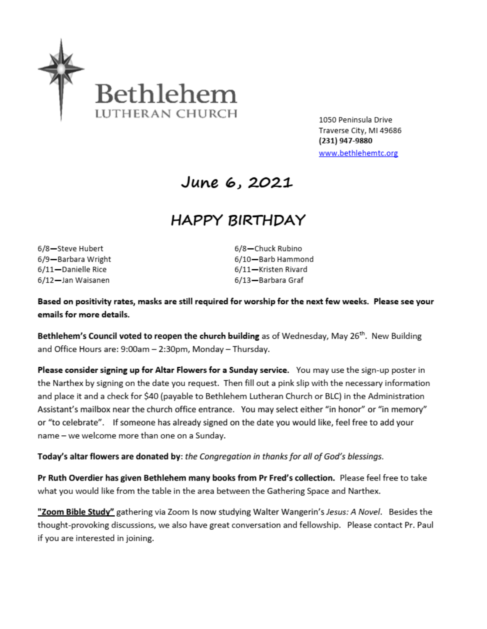

1050 Peninsula Drive Traverse City, MI 49686 (231) 947-9880 www.bethlehemtc.org

# June 6, 2021

# **HAPPY BIRTHDAY**

6/8-Steve Hubert 6/9-Barbara Wright 6/11-Danielle Rice 6/12-Jan Waisanen

6/8-Chuck Rubino 6/10-Barb Hammond 6/11-Kristen Rivard 6/13-Barbara Graf

Based on positivity rates, masks are still required for worship for the next few weeks. Please see your emails for more details.

Bethlehem's Council voted to reopen the church building as of Wednesday, May 26<sup>th</sup>. New Building and Office Hours are: 9:00am - 2:30pm, Monday - Thursday.

Please consider signing up for Altar Flowers for a Sunday service. You may use the sign-up poster in the Narthex by signing on the date you request. Then fill out a pink slip with the necessary information and place it and a check for \$40 (payable to Bethlehem Lutheran Church or BLC) in the Administration Assistant's mailbox near the church office entrance. You may select either "in honor" or "in memory" or "to celebrate". If someone has already signed on the date you would like, feel free to add your name - we welcome more than one on a Sunday.

Today's altar flowers are donated by: the Congregation in thanks for all of God's blessings.

Pr Ruth Overdier has given Bethlehem many books from Pr Fred's collection. Please feel free to take what you would like from the table in the area between the Gathering Space and Narthex.

"Zoom Bible Study" gathering via Zoom Is now studying Walter Wangerin's Jesus: A Novel. Besides the thought-provoking discussions, we also have great conversation and fellowship. Please contact Pr. Paul if you are interested in joining.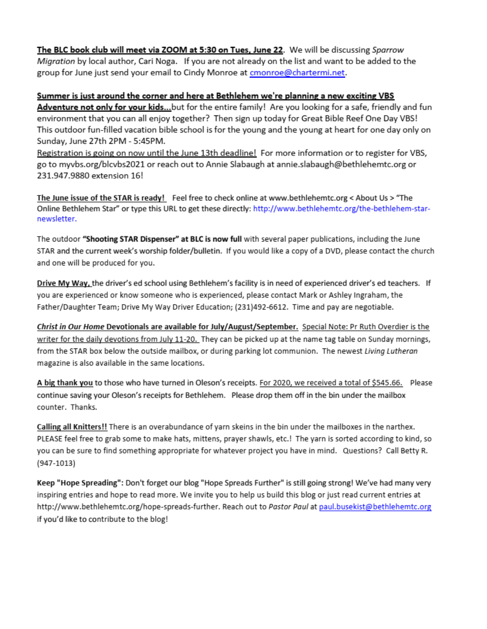The BLC book club will meet via ZOOM at 5:30 on Tues, June 22. We will be discussing Sparrow Migration by local author, Cari Noga. If you are not already on the list and want to be added to the group for June just send your email to Cindy Monroe at cmonroe@chartermi.net.

#### Summer is just around the corner and here at Bethlehem we're planning a new exciting VBS

Adventure not only for your kids...but for the entire family! Are you looking for a safe, friendly and fun environment that you can all enjoy together? Then sign up today for Great Bible Reef One Day VBS! This outdoor fun-filled vacation bible school is for the young and the young at heart for one day only on Sunday, June 27th 2PM - 5:45PM.

Registration is going on now until the June 13th deadline! For more information or to register for VBS, go to myvbs.org/blcvbs2021 or reach out to Annie Slabaugh at annie.slabaugh@bethlehemtc.org or 231.947.9880 extension 16!

The June issue of the STAR is ready! Feel free to check online at www.bethlehemtc.org < About Us > "The Online Bethlehem Star" or type this URL to get these directly: http://www.bethlehemtc.org/the-bethlehem-starnewsletter.

The outdoor "Shooting STAR Dispenser" at BLC is now full with several paper publications, including the June STAR and the current week's worship folder/bulletin. If you would like a copy of a DVD, please contact the church and one will be produced for you.

Drive My Way, the driver's ed school using Bethlehem's facility is in need of experienced driver's ed teachers. If you are experienced or know someone who is experienced, please contact Mark or Ashley Ingraham, the Father/Daughter Team; Drive My Way Driver Education; (231)492-6612. Time and pay are negotiable.

Christ in Our Home Devotionals are available for July/August/September. Special Note: Pr Ruth Overdier is the writer for the daily devotions from July 11-20. They can be picked up at the name tag table on Sunday mornings, from the STAR box below the outside mailbox, or during parking lot communion. The newest Living Lutheran magazine is also available in the same locations.

A big thank you to those who have turned in Oleson's receipts. For 2020, we received a total of \$545.66. Please continue saving your Oleson's receipts for Bethlehem. Please drop them off in the bin under the mailbox counter. Thanks.

Calling all Knitters!! There is an overabundance of yarn skeins in the bin under the mailboxes in the narthex. PLEASE feel free to grab some to make hats, mittens, prayer shawls, etc.! The yarn is sorted according to kind, so you can be sure to find something appropriate for whatever project you have in mind. Questions? Call Betty R.  $(947 - 1013)$ 

Keep "Hope Spreading": Don't forget our blog "Hope Spreads Further" is still going strong! We've had many very inspiring entries and hope to read more. We invite you to help us build this blog or just read current entries at http://www.bethlehemtc.org/hope-spreads-further. Reach out to Pastor Paul at paul.busekist@bethlehemtc.org if you'd like to contribute to the blog!